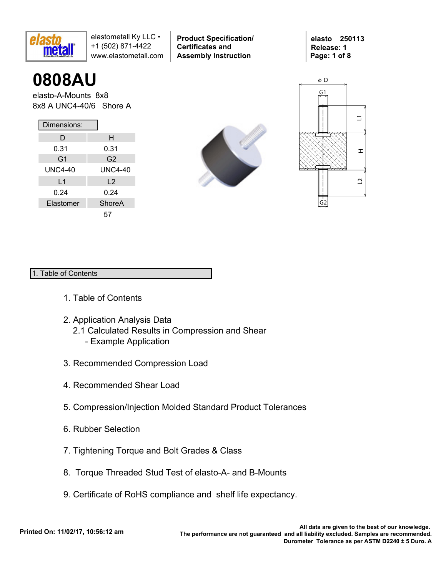

**0808AU**

elasto-A-Mounts 8x8 8x8 A UNC4-40/6 Shore A

| Dimensions:    |                |  |  |  |  |  |  |  |
|----------------|----------------|--|--|--|--|--|--|--|
| D              | н              |  |  |  |  |  |  |  |
| 0.31           | 0.31           |  |  |  |  |  |  |  |
| G <sub>1</sub> | G <sub>2</sub> |  |  |  |  |  |  |  |
| UNC4-40        | <b>UNC4-40</b> |  |  |  |  |  |  |  |
| L <sub>1</sub> | $\overline{2}$ |  |  |  |  |  |  |  |
| 0.24           | 0.24           |  |  |  |  |  |  |  |
| Elastomer      | ShoreA         |  |  |  |  |  |  |  |
|                | 57             |  |  |  |  |  |  |  |



**Product Specification/** 

**Certificates and Assembly Instruction**





### 1. Table of Contents

- 1. Table of Contents
- 2. Application Analysis Data
	- 2.1 Calculated Results in Compression and Shear
		- Example Application
- 3. Recommended Compression Load
- 4. Recommended Shear Load
- 5. Compression/Injection Molded Standard Product Tolerances
- 6. Rubber Selection
- 7. Tightening Torque and Bolt Grades & Class
- 8. Torque Threaded Stud Test of elasto-A- and B-Mounts
- 9. Certificate of RoHS compliance and shelf life expectancy.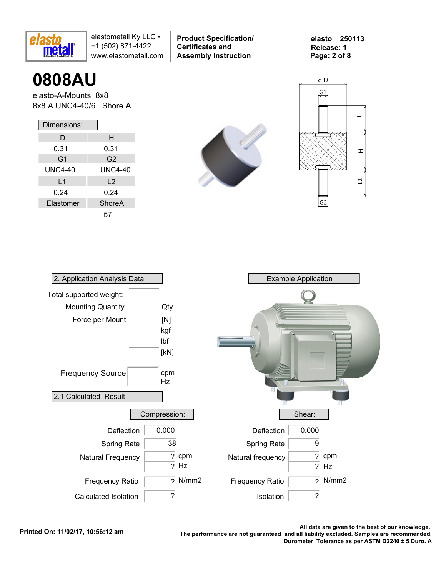

**Product Specification/ Certificates and Assembly Instruction**

**elasto 250113 Release: 1 Page: 2 of 8**

# **0808AU**

elasto-A-Mounts 8x8 8x8 A UNC4-40/6 Shore A

| Dimensions:    |                |  |  |  |  |  |  |
|----------------|----------------|--|--|--|--|--|--|
| D              | н              |  |  |  |  |  |  |
| 0.31           | 0.31           |  |  |  |  |  |  |
| G <sub>1</sub> | G <sub>2</sub> |  |  |  |  |  |  |
| UNC4-40        | <b>UNC4-40</b> |  |  |  |  |  |  |
| L <sub>1</sub> | $\mathsf{L}2$  |  |  |  |  |  |  |
| 0.24           | 0.24           |  |  |  |  |  |  |
| Elastomer      | ShoreA         |  |  |  |  |  |  |
|                | 57             |  |  |  |  |  |  |





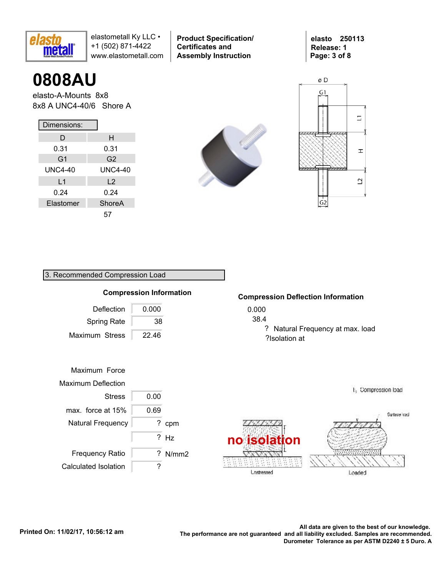

**0808AU**

elasto-A-Mounts 8x8 8x8 A UNC4-40/6 Shore A

| Dimensions:    |                |  |  |  |  |  |  |  |
|----------------|----------------|--|--|--|--|--|--|--|
| D              | н              |  |  |  |  |  |  |  |
| 0.31           | 0.31           |  |  |  |  |  |  |  |
| G <sub>1</sub> | G <sub>2</sub> |  |  |  |  |  |  |  |
| UNC4-40        | <b>UNC4-40</b> |  |  |  |  |  |  |  |
| L1             | L <sub>2</sub> |  |  |  |  |  |  |  |
| 0.24           | 0.24           |  |  |  |  |  |  |  |
| Elastomer      | ShoreA         |  |  |  |  |  |  |  |
|                | 57             |  |  |  |  |  |  |  |

3. Recommended Compression Load



**Product Specification/** 

**Certificates and Assembly Instruction**





### 0.000 38.4 ? Natural Frequency at max. load ?Isolation at **Compression Deflection Information** Deflection Frequency Ratio Maximum Stress 22.46 0.000 Maximum Force Maximum Deflection Stress 0.00 ? cpm ? N/mm2 **Compression Information** Natural Frequency ? Hz **no isolation** max. force at  $15\%$  0.69 Spring Rate 38

Surface load

Loaded

E<sub>3</sub> Compression load

Calculated Isolation | ?

.All data are given to the best of our knowledge<br>.The performance are not guaranteed and all liability excluded. Samples are recommended. **Durometer Tolerance as per ASTM D2240 ± 5 Duro. A**

**L**nstressed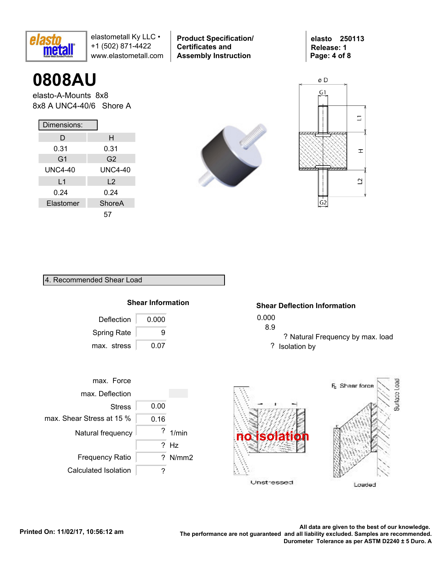

**0808AU**

elasto-A-Mounts 8x8 8x8 A UNC4-40/6 Shore A

| Dimensions:    |                |  |  |  |  |  |  |  |
|----------------|----------------|--|--|--|--|--|--|--|
| D              | н              |  |  |  |  |  |  |  |
| 0.31           | 0.31           |  |  |  |  |  |  |  |
| G <sub>1</sub> | G <sub>2</sub> |  |  |  |  |  |  |  |
| UNC4-40        | <b>UNC4-40</b> |  |  |  |  |  |  |  |
| L1             | L <sub>2</sub> |  |  |  |  |  |  |  |
| 0.24           | 0.24           |  |  |  |  |  |  |  |
| Elastomer      | ShoreA         |  |  |  |  |  |  |  |
|                | 57             |  |  |  |  |  |  |  |



**Product Specification/** 

**Certificates and Assembly Instruction**





4. Recommended Shear Load

## **Shear Information**

| Deflection         | 0.000 |
|--------------------|-------|
| <b>Spring Rate</b> | 9     |
| max. stress        | 0.07  |

## **Shear Deflection Information**

- 0.000
- 8.9
	- ? Natural Frequency by max. load ? Isolation by



Loaded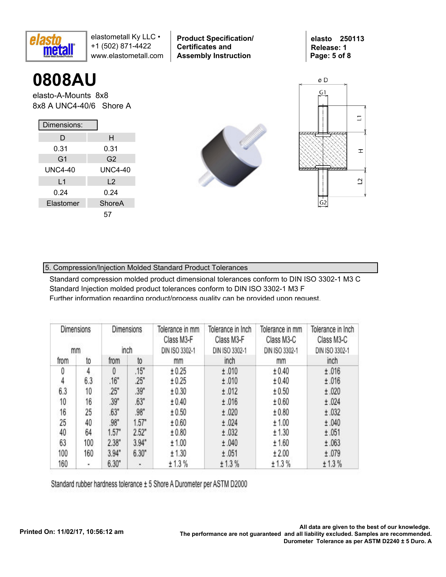

**0808AU**

elasto-A-Mounts 8x8 8x8 A UNC4-40/6 Shore A

| Dimensions:    |                |  |  |  |  |  |  |  |
|----------------|----------------|--|--|--|--|--|--|--|
| D              | н              |  |  |  |  |  |  |  |
| 0.31           | 0.31           |  |  |  |  |  |  |  |
| G1             | G2             |  |  |  |  |  |  |  |
| UNC4-40        | <b>UNC4-40</b> |  |  |  |  |  |  |  |
| L <sub>1</sub> | L <sub>2</sub> |  |  |  |  |  |  |  |
| 0.24           | 0.24           |  |  |  |  |  |  |  |
| Elastomer      | <b>ShoreA</b>  |  |  |  |  |  |  |  |
|                | 57             |  |  |  |  |  |  |  |



**Product Specification/** 

**Certificates and Assembly Instruction**



**elasto 250113 Release: 1**

**Page: 5 of 8**

## 5. Compression/Injection Molded Standard Product Tolerances

Standard compression molded product dimensional tolerances conform to DIN ISO 3302-1 M3 C Standard Injection molded product tolerances conform to DIN ISO 3302-1 M3 F Further information regarding product/process quality can be provided upon request.

| <b>Dimensions</b><br><b>Dimensions</b><br>inch<br>mm |     |       | Tolerance in mm<br>Class M3-F<br>DIN ISO 3302-1 | Tolerance in Inch<br>Class M3-F<br>DIN ISO 3302-1 | Tolerance in mm<br>Class M3-C<br>DIN ISO 3302-1 | Tolerance in Inch<br>Class M3-C<br>DIN ISO 3302-1 |        |
|------------------------------------------------------|-----|-------|-------------------------------------------------|---------------------------------------------------|-------------------------------------------------|---------------------------------------------------|--------|
| from                                                 | to  | from  | to                                              | mm                                                | inch                                            | mm                                                | inch   |
| 0                                                    | 4   | 0     | .15"                                            | ± 0.25                                            | ±.010                                           | ± 0.40                                            | ±.016  |
| 4                                                    | 6.3 | .16"  | .25"                                            | ± 0.25                                            | ±.010                                           | ± 0.40                                            | ±.016  |
| 6.3                                                  | 10  | .25"  | .39"                                            | ± 0.30                                            | ±.012                                           | ± 0.50                                            | ±.020  |
| 10                                                   | 16  | .39"  | .63"                                            | ± 0.40                                            | ±.016                                           | ± 0.60                                            | ±.024  |
| 16                                                   | 25  | .63"  | .98"                                            | ± 0.50                                            | ±.020                                           | ± 0.80                                            | ±.032  |
| 25                                                   | 40  | .98"  | 1.57"                                           | ± 0.60                                            | ±.024                                           | ± 1.00                                            | ±.040  |
| 40                                                   | 64  | 1.57" | 2.52"                                           | ± 0.80                                            | ±.032                                           | ± 1.30                                            | ±.051  |
| 63                                                   | 100 | 2.38" | 3.94"                                           | ± 1.00                                            | ±.040                                           | ± 1.60                                            | ±.063  |
| 100                                                  | 160 | 3.94" | 6.30"                                           | ± 1.30                                            | ±.051                                           | ±2.00                                             | ±.079  |
| 160                                                  | ۰   | 6.30" | ٠.                                              | ± 1.3%                                            | ± 1.3%                                          | ± 1.3%                                            | ± 1.3% |

Standard rubber hardness tolerance ± 5 Shore A Durometer per ASTM D2000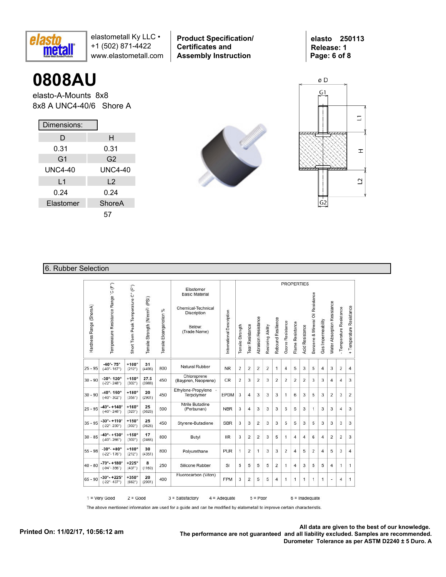

**Product Specification/ Certificates and Assembly Instruction**

**elasto 250113 Release: 1 Page: 6 of 8**

# **0808AU**

elasto-A-Mounts 8x8 8x8 A UNC4-40/6 Shore A

| Dimensions:    |                |  |  |  |  |  |  |
|----------------|----------------|--|--|--|--|--|--|
| D              | н              |  |  |  |  |  |  |
| 0.31           | 0.31           |  |  |  |  |  |  |
| G <sub>1</sub> | G2             |  |  |  |  |  |  |
| UNC4-40        | <b>UNC4-40</b> |  |  |  |  |  |  |
| L1             | L <sub>2</sub> |  |  |  |  |  |  |
| 0.24           | 0.24           |  |  |  |  |  |  |
| Elastomer      | ShoreA         |  |  |  |  |  |  |
|                | 57             |  |  |  |  |  |  |





## 6. Rubber Selection

|                         |                                                               |                                     |                                            |                             |                                                                                                   |                           |                  |                 |                            |                   |                    |                  |                  | <b>PROPERTIES</b>      |                                  |                    |                             |                          |                          |
|-------------------------|---------------------------------------------------------------|-------------------------------------|--------------------------------------------|-----------------------------|---------------------------------------------------------------------------------------------------|---------------------------|------------------|-----------------|----------------------------|-------------------|--------------------|------------------|------------------|------------------------|----------------------------------|--------------------|-----------------------------|--------------------------|--------------------------|
| Hardness Range (ShoreA) | Temperature Resistance Range 'C (F")                          | Short Term Peak Temperature C° (F°) | Tensile Strength (N/mm <sup>2)</sup> (PSI) | %<br>Tensile Eloangariotion | Elastomer<br><b>Basic Material</b><br>Chemical-Technical<br>Discription<br>Below:<br>(Trade Name) | International Description | Tensile Strength | Tear Resistance | <b>Abrasion Resistance</b> | Restoring Ability | Rebound Resilience | Ozone Resistance | Flame Resistance | <b>Acid Resistance</b> | Benzene & Mineral Oil Resistance | Gas Impermeability | Water Absorption Resistance | - Temperature Resistance | + Temperature Resistance |
| $25 - 95$               | $-40^{\circ} - 75^{\circ}$<br>$(-40^{\circ} - 167^{\circ})$   | $+100^\circ$<br>$(212^{\circ})$     | 31<br>(4496)                               | 800                         | Natural Rubber                                                                                    | <b>NR</b>                 | $\overline{2}$   | 2               | $\overline{2}$             | $\overline{2}$    | 1                  | $\overline{4}$   | 5                | 3                      | 5                                | $\overline{4}$     | 3                           | $\overline{2}$           | $\overline{4}$           |
| $30 - 90$               | $-30^{\circ} - 120^{\circ}$<br>$(-22^{\circ} - 248^{\circ})$  | $+150^\circ$<br>$(302^{\circ})$     | 27.5<br>(3988)                             | 450                         | Chloroprene<br>(Baypren, Neoprene)                                                                | CR                        | $\overline{2}$   | 3               | 2                          | 3                 | 2                  | 2                | 2                | 2                      | 3                                | 3                  | 4                           | $\overline{4}$           | 3                        |
| $30 - 90$               | $-40^{\circ} - 150^{\circ}$<br>$(-40^{\circ} - 302^{\circ})$  | $+180^\circ$<br>(356°)              | 20<br>(2901)                               | 450                         | Ethylene-Propylene -<br>Terpolymer                                                                | EPDM                      | 3                | 4               | 3                          | 3                 | 3                  | $\mathbf{1}$     | 6                | 3                      | 5                                | 3                  | $\overline{2}$              | 3                        | $\overline{2}$           |
| $25 - 95$               | $-40^{\circ} - +140^{\circ}$<br>$(-40^{\circ} - 248^{\circ})$ | $+160^\circ$<br>(320°)              | 25<br>(3626)                               | 500                         | Ntrile Butadine<br>(Perbunan)                                                                     | <b>NBR</b>                | 3                | 4               | 3                          | 3                 | 3                  | 5                | 5                | 3                      | 1                                | 3                  | 3                           | $\overline{4}$           | 3                        |
| $35 - 95$               | $-30^{\circ} - +110^{\circ}$<br>$(-22^{\circ} - 230^{\circ})$ | $+150^\circ$<br>$(302^{\circ})$     | 25<br>(3626)                               | 450                         | Styrene-Butadiene                                                                                 | <b>SBR</b>                | 3                | 3               | $\overline{2}$             | 3                 | 3                  | 5                | 5                | 3                      | 5                                | 3                  | 3                           | 3                        | 3                        |
| $30 - 85$               | $-40^{\circ} - +130^{\circ}$<br>$(-40^\circ - 266^\circ)$     | $+150^\circ$<br>$(302^{\circ})$     | 17<br>(2466)                               | 800                         | Butyl                                                                                             | <b>IIR</b>                | 3                | $\overline{2}$  | $\overline{2}$             | 3                 | 5                  | 1                | 4                | 4                      | 6                                | 4                  | $\overline{2}$              | $\overline{2}$           | 3                        |
| $55 - 98$               | $-30^{\circ} - +80^{\circ}$<br>$(-22^{\circ} - 176^{\circ})$  | $+100^\circ$<br>(212°)              | 30<br>(4351)                               | 800                         | Polyurethane                                                                                      | <b>PUR</b>                | 1                | 2               | $\mathbf{1}$               | 3                 | 3                  | $\overline{2}$   | $\overline{4}$   | 5                      | 2                                | 4                  | 5                           | 3                        | $\overline{4}$           |
| $40 - 80$               | $-70^{\circ} - +180^{\circ}$<br>$(-94^\circ - 356^\circ)$     | $+225^\circ$<br>(437°)              | 8<br>(1160)                                | 250                         | Silicone Rubber                                                                                   | SI                        | 5                | 5               | 5                          | 5                 | 2                  | 1                | 4                | 3                      | 5                                | 5                  | 4                           | 1                        | 1                        |
| $65 - 90$               | $-30^{\circ} - +225^{\circ}$<br>$(-22^{\circ} - 437^{\circ})$ | $+350^\circ$<br>(662°)              | 20<br>(2901)                               | 400                         | Fluorocarbon (Viton)                                                                              | <b>FPM</b>                | 3                | 2               | 5                          | 5                 | 4                  | $\mathbf{1}$     | 1                | 1                      | 1                                | 1                  | u,                          | 4                        | 1                        |

The above mentioned information are used for a guide and can be modified by elatometall to improve certain characteristis.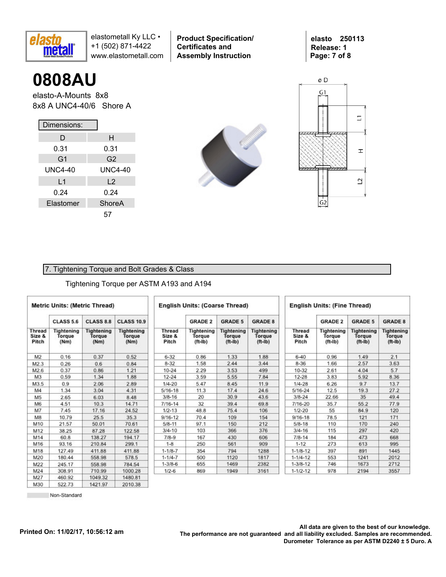

**0808AU**

elasto-A-Mounts 8x8 8x8 A UNC4-40/6 Shore A

| Dimensions:    |                |  |  |  |  |  |  |  |
|----------------|----------------|--|--|--|--|--|--|--|
| D              | н              |  |  |  |  |  |  |  |
| 0.31           | 0.31           |  |  |  |  |  |  |  |
| G <sub>1</sub> | G <sub>2</sub> |  |  |  |  |  |  |  |
| UNC4-40        | <b>UNC4-40</b> |  |  |  |  |  |  |  |
| L1             | $\mathsf{L}2$  |  |  |  |  |  |  |  |
| 0.24           | 0.24           |  |  |  |  |  |  |  |
| Elastomer      | ShoreA         |  |  |  |  |  |  |  |
|                | 57             |  |  |  |  |  |  |  |



**Product Specification/** 

**Certificates and Assembly Instruction**



### 7. Tightening Torque and Bolt Grades & Class

#### Tightening Torque per ASTM A193 and A194

| <b>Metric Units: (Metric Thread)</b> |                              |                                     | <b>English Units: (Coarse Thread)</b> |                                  |                                          |                                                 |                                          |                                  | <b>English Units: (Fine Thread)</b>      |                                          |                                          |  |  |  |  |
|--------------------------------------|------------------------------|-------------------------------------|---------------------------------------|----------------------------------|------------------------------------------|-------------------------------------------------|------------------------------------------|----------------------------------|------------------------------------------|------------------------------------------|------------------------------------------|--|--|--|--|
|                                      | <b>CLASS 5.6</b>             | <b>CLASS 8.8</b>                    | <b>CLASS 10.9</b>                     |                                  | <b>GRADE 2</b>                           | <b>GRADE 5</b>                                  | <b>GRADE 8</b>                           |                                  | <b>GRADE 2</b>                           | <b>GRADE 5</b>                           | <b>GRADE 8</b>                           |  |  |  |  |
| <b>Thread</b><br>Size &<br>Pitch     | Tightening<br>Torque<br>(Nm) | <b>Tightening</b><br>Torque<br>(Nm) | <b>Tightening</b><br>Torque<br>(Nm)   | <b>Thread</b><br>Size &<br>Pitch | Tightening<br><b>Torque</b><br>$(ft-lb)$ | <b>Tightening</b><br><b>Torque</b><br>$(ft-lb)$ | <b>Tightening</b><br>Torque<br>$(ft-lb)$ | <b>Thread</b><br>Size &<br>Pitch | Tightening<br><b>Torque</b><br>$(ft-lb)$ | <b>Tightening</b><br>Torque<br>$(ft-lb)$ | <b>Tightening</b><br>Torque<br>$(ft-lb)$ |  |  |  |  |
| M2                                   | 0.16                         | 0.37                                | 0.52                                  | $6 - 32$                         | 0.86                                     | 1.33                                            | 1.88                                     | $6 - 40$                         | 0.96                                     | 1.49                                     | 2.1                                      |  |  |  |  |
| M2.3                                 | 0.26                         | 0.6                                 | 0.84                                  | $8 - 32$                         | 1.58                                     | 2.44                                            | 3.44                                     | $8 - 36$                         | 1.66                                     | 2.57                                     | 3.63                                     |  |  |  |  |
| M2.6                                 | 0.37                         | 0.86                                | 1.21                                  | $10 - 24$                        | 2.29                                     | 3.53                                            | 499                                      | 10-32                            | 2.61                                     | 4.04                                     | 5.7                                      |  |  |  |  |
| M <sub>3</sub>                       | 0.59                         | 1.34                                | 1.88                                  | $12 - 24$                        | 3.59                                     | 5.55                                            | 7.84                                     | $12 - 28$                        | 3.83                                     | 5.92                                     | 8.36                                     |  |  |  |  |
| M3.5                                 | 0.9                          | 2.06                                | 2.89                                  | $1/4 - 20$                       | 5.47                                     | 8.45                                            | 11.9                                     | $1/4 - 28$                       | 6.26                                     | 9.7                                      | 13.7                                     |  |  |  |  |
| M4                                   | 1.34                         | 3.04                                | 4.31                                  | $5/16 - 18$                      | 11.3                                     | 17.4                                            | 24.6                                     | $5/16 - 24$                      | 12.5                                     | 19.3                                     | 27.2                                     |  |  |  |  |
| M <sub>5</sub>                       | 2.65                         | 6.03                                | 8.48                                  | $3/8 - 16$                       | 20                                       | 30.9                                            | 43.6                                     | $3/8 - 24$                       | 22.66                                    | 35                                       | 49.4                                     |  |  |  |  |
| M6                                   | 4.51                         | 10.3                                | 14.71                                 | $7/16 - 14$                      | 32                                       | 39.4                                            | 69.8                                     | 7/16-20                          | 35.7                                     | 55.2                                     | 77.9                                     |  |  |  |  |
| M7                                   | 7.45                         | 17.16                               | 24.52                                 | $1/2 - 13$                       | 48.8                                     | 75.4                                            | 106                                      | $1/2 - 20$                       | 55                                       | 84.9                                     | 120                                      |  |  |  |  |
| M8                                   | 10.79                        | 25.5                                | 35.3                                  | $9/16 - 12$                      | 70.4                                     | 109                                             | 154                                      | $9/16 - 18$                      | 78.5                                     | 121                                      | 171                                      |  |  |  |  |
| M10                                  | 21.57                        | 50.01                               | 70.61                                 | $5/8 - 11$                       | 97.1                                     | 150                                             | 212                                      | $5/8 - 18$                       | 110                                      | 170                                      | 240                                      |  |  |  |  |
| M12                                  | 38.25                        | 87.28                               | 122.58                                | $3/4 - 10$                       | 103                                      | 366                                             | 376                                      | $3/4 - 16$                       | 115                                      | 297                                      | 420                                      |  |  |  |  |
| M14                                  | 60.8                         | 138.27                              | 194.17                                | $7/8-9$                          | 167                                      | 430                                             | 606                                      | $7/8 - 14$                       | 184                                      | 473                                      | 668                                      |  |  |  |  |
| M16                                  | 93.16                        | 210.84                              | 299.1                                 | $1 - 8$                          | 250                                      | 561                                             | 909                                      | $1 - 12$                         | 273                                      | 613                                      | 995                                      |  |  |  |  |
| M18                                  | 127.49                       | 411.88                              | 411.88                                | $1 - 1/8 - 7$                    | 354                                      | 794                                             | 1288                                     | $1 - 1/8 - 12$                   | 397                                      | 891                                      | 1445                                     |  |  |  |  |
| M20                                  | 180.44                       | 558.98                              | 578.5                                 | $1 - 1/4 - 7$                    | 500                                      | 1120                                            | 1817                                     | $1 - 1/4 - 12$                   | 553                                      | 1241                                     | 2012                                     |  |  |  |  |
| M22                                  | 245.17                       | 558.98                              | 784.54                                | $1 - 3/8 - 6$                    | 655                                      | 1469                                            | 2382                                     | $1 - 3/8 - 12$                   | 746                                      | 1673                                     | 2712                                     |  |  |  |  |
| M24                                  | 308.91                       | 710.99                              | 1000.28                               | $1/2 - 6$                        | 869                                      | 1949                                            | 3161                                     | $1 - 1/2 - 12$                   | 978                                      | 2194                                     | 3557                                     |  |  |  |  |
| M27                                  | 460.92                       | 104932                              | 1480.81                               |                                  |                                          |                                                 |                                          |                                  |                                          |                                          |                                          |  |  |  |  |

522.73 Non-Standard 1421.97

2010.38

M30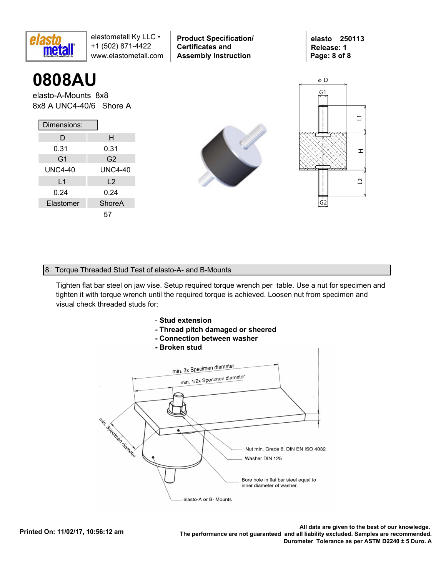

**0808AU**

elasto-A-Mounts 8x8 8x8 A UNC4-40/6 Shore A

| Dimensions:    |                |  |  |  |  |  |  |  |
|----------------|----------------|--|--|--|--|--|--|--|
| D              | н              |  |  |  |  |  |  |  |
| 0.31           | 0.31           |  |  |  |  |  |  |  |
| G <sub>1</sub> | G2             |  |  |  |  |  |  |  |
| <b>UNC4-40</b> | <b>UNC4-40</b> |  |  |  |  |  |  |  |
| L <sub>1</sub> | L <sub>2</sub> |  |  |  |  |  |  |  |
| 0.24           | 0.24           |  |  |  |  |  |  |  |
| Elastomer      | ShoreA         |  |  |  |  |  |  |  |
|                | 57             |  |  |  |  |  |  |  |



**Product Specification/** 

**Certificates and Assembly Instruction**



#### 8. Torque Threaded Stud Test of elasto-A- and B-Mounts

Tighten flat bar steel on jaw vise. Setup required torque wrench per table. Use a nut for specimen and tighten it with torque wrench until the required torque is achieved. Loosen nut from specimen and visual check threaded studs for:



- **Thread pitch damaged or sheered**
- **Connection between washer**
- **Broken stud**



.All data are given to the best of our knowledge<br>.The performance are not guaranteed and all liability excluded. Samples are recommended. **Durometer Tolerance as per ASTM D2240 ± 5 Duro. A**

**elasto 250113 Release: 1 Page: 8 of 8**